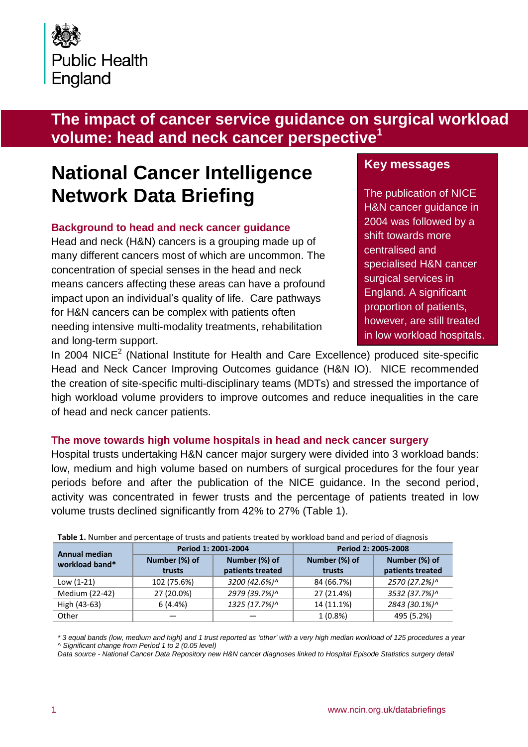

# **The impact of cancer service guidance on surgical workload volume: head and neck cancer perspective<sup>1</sup>**

# **National Cancer Intelligence Network Data Briefing**

### **Background to head and neck cancer guidance**

Head and neck (H&N) cancers is a grouping made up of many different cancers most of which are uncommon. The concentration of special senses in the head and neck means cancers affecting these areas can have a profound impact upon an individual's quality of life. Care pathways for H&N cancers can be complex with patients often needing intensive multi-modality treatments, rehabilitation and long-term support.

# **Key messages**

The publication of NICE H&N cancer guidance in 2004 was followed by a shift towards more centralised and specialised H&N cancer surgical services in England. A significant proportion of patients, however, are still treated in low workload hospitals.

In 2004 NICE<sup>2</sup> (National Institute for Health and Care Excellence) produced site-specific Head and Neck Cancer Improving Outcomes guidance (H&N IO). NICE recommended the creation of site-specific multi-disciplinary teams (MDTs) and stressed the importance of high workload volume providers to improve outcomes and reduce inequalities in the care of head and neck cancer patients.

#### **The move towards high volume hospitals in head and neck cancer surgery**

Hospital trusts undertaking H&N cancer major surgery were divided into 3 workload bands: low, medium and high volume based on numbers of surgical procedures for the four year periods before and after the publication of the NICE guidance. In the second period, activity was concentrated in fewer trusts and the percentage of patients treated in low volume trusts declined significantly from 42% to 27% (Table 1).

| <b>Annual median</b><br>workload band* | Period 1: 2001-2004 |                  | Period 2: 2005-2008 |                  |
|----------------------------------------|---------------------|------------------|---------------------|------------------|
|                                        | Number (%) of       | Number (%) of    | Number (%) of       | Number (%) of    |
|                                        | trusts              | patients treated | trusts              | patients treated |
| Low $(1-21)$                           | 102 (75.6%)         | 3200 (42.6%)^    | 84 (66.7%)          | 2570 (27.2%)^    |
| Medium (22-42)                         | 27 (20.0%)          | 2979 (39.7%)^    | 27 (21.4%)          | 3532 (37.7%)^    |
| High (43-63)                           | 6(4.4%)             | 1325 (17.7%)^    | 14 (11.1%)          | 2843 (30.1%)^    |
| Other                                  |                     |                  | $1(0.8\%)$          | 495 (5.2%)       |

**Table 1.** Number and percentage of trusts and patients treated by workload band and period of diagnosis

*\* 3 equal bands (low, medium and high) and 1 trust reported as 'other' with a very high median workload of 125 procedures a year ^ Significant change from Period 1 to 2 (0.05 level)*

*Data source - National Cancer Data Repository new H&N cancer diagnoses linked to Hospital Episode Statistics surgery detail*